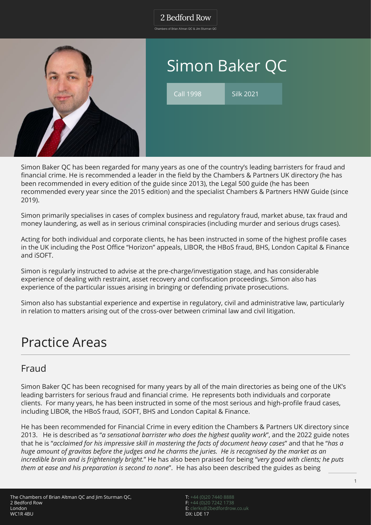Chambers of Brian Altman QC & Jim Sturman QC



# Simon Baker QC

Call 1998 Silk 2021

Simon Baker QC has been regarded for many years as one of the country's leading barristers for fraud and financial crime. He is recommended a leader in the field by the Chambers & Partners UK directory (he has been recommended in every edition of the guide since 2013), the Legal 500 guide (he has been recommended every year since the 2015 edition) and the specialist Chambers & Partners HNW Guide (since 2019).

Simon primarily specialises in cases of complex business and regulatory fraud, market abuse, tax fraud and money laundering, as well as in serious criminal conspiracies (including murder and serious drugs cases).

Acting for both individual and corporate clients, he has been instructed in some of the highest profile cases in the UK including the Post Office "Horizon" appeals, LIBOR, the HBoS fraud, BHS, London Capital & Finance and iSOFT.

Simon is regularly instructed to advise at the pre-charge/investigation stage, and has considerable experience of dealing with restraint, asset recovery and confiscation proceedings. Simon also has experience of the particular issues arising in bringing or defending private prosecutions.

Simon also has substantial experience and expertise in regulatory, civil and administrative law, particularly in relation to matters arising out of the cross-over between criminal law and civil litigation.

## Practice Areas

### Fraud

Simon Baker QC has been recognised for many years by all of the main directories as being one of the UK's leading barristers for serious fraud and financial crime. He represents both individuals and corporate clients. For many years, he has been instructed in some of the most serious and high-profile fraud cases, including LIBOR, the HBoS fraud, iSOFT, BHS and London Capital & Finance.

He has been recommended for Financial Crime in every edition the Chambers & Partners UK directory since 2013. He is described as "*a sensational barrister who does the highest quality work*", and the 2022 guide notes that he is "*acclaimed for his impressive skill in mastering the facts of document heavy cases*" and that he "*has a huge amount of gravitas before the judges and he charms the juries. He is recognised by the market as an incredible brain and is frighteningly bright.*" He has also been praised for being "*very good with clients; he puts them at ease and his preparation is second to none*". He has also been described the guides as being

T: [+44 \(0\)20 7440 8888](#page--1-0) F: [+44 \(0\)20 7242 1738](#page--1-0) E: [clerks@2bedfordrow.co.uk](mailto:clerks@2bedfordrow.co.uk) DX: LDE 17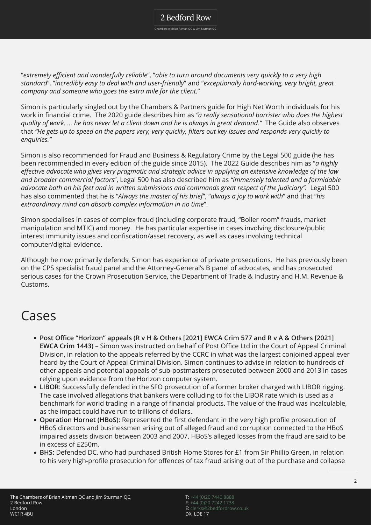2 Bedford Row Chambers of Brian Altman QC & Jim Sturman QC

"*extremely efficient and wonderfully reliable*", "*able to turn around documents very quickly to a very high standard*", "*incredibly easy to deal with and user-friendly*" and "*exceptionally hard-working, very bright, great company and someone who goes the extra mile for the client.*"

Simon is particularly singled out by the Chambers & Partners guide for High Net Worth individuals for his work in financial crime. The 2020 guide describes him as *"a really sensational barrister who does the highest quality of work. … he has never let a client down and he is always in great demand."* The Guide also observes that *"He gets up to speed on the papers very, very quickly, filters out key issues and responds very quickly to enquiries."*

Simon is also recommended for Fraud and Business & Regulatory Crime by the Legal 500 guide (he has been recommended in every edition of the guide since 2015). The 2022 Guide describes him as "*a highly effective advocate who gives very pragmatic and strategic advice in applying an extensive knowledge of the law and broader commercial factors*", Legal 500 has also described him as *"immensely talented and a formidable* advocate both on his feet and in written submissions and commands great respect of the judiciary". Legal 500 has also commented that he is "*Always the master of his brief*", "*always a joy to work with*" and that "*his extraordinary mind can absorb complex information in no time*".

Simon specialises in cases of complex fraud (including corporate fraud, "Boiler room" frauds, market manipulation and MTIC) and money. He has particular expertise in cases involving disclosure/public interest immunity issues and confiscation/asset recovery, as well as cases involving technical computer/digital evidence.

Although he now primarily defends, Simon has experience of private prosecutions. He has previously been on the CPS specialist fraud panel and the Attorney-General's B panel of advocates, and has prosecuted serious cases for the Crown Prosecution Service, the Department of Trade & Industry and H.M. Revenue & Customs.

## Cases

- **Post Office "Horizon" appeals (R v H & Others [2021] EWCA Crim 577 and R v A & Others [2021] EWCA Crim 1443)** – Simon was instructed on behalf of Post Office Ltd in the Court of Appeal Criminal Division, in relation to the appeals referred by the CCRC in what was the largest conjoined appeal ever heard by the Court of Appeal Criminal Division. Simon continues to advise in relation to hundreds of other appeals and potential appeals of sub-postmasters prosecuted between 2000 and 2013 in cases relying upon evidence from the Horizon computer system.
- **LIBOR**: Successfully defended in the SFO prosecution of a former broker charged with LIBOR rigging. The case involved allegations that bankers were colluding to fix the LIBOR rate which is used as a benchmark for world trading in a range of financial products. The value of the fraud was incalculable, as the impact could have run to trillions of dollars.
- **Operation Hornet (HBoS):** Represented the first defendant in the very high profile prosecution of HBoS directors and businessmen arising out of alleged fraud and corruption connected to the HBoS impaired assets division between 2003 and 2007. HBoS's alleged losses from the fraud are said to be in excess of £250m.
- **BHS:** Defended DC, who had purchased British Home Stores for £1 from Sir Phillip Green, in relation to his very high-profile prosecution for offences of tax fraud arising out of the purchase and collapse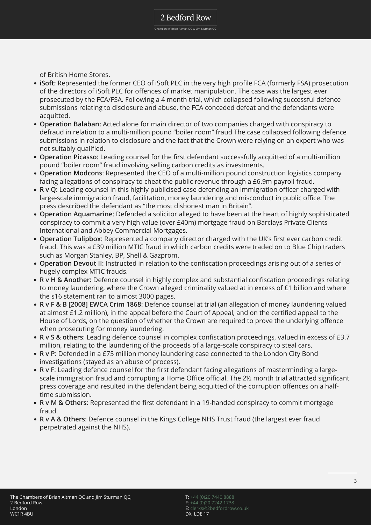of British Home Stores.

- **iSoft:** Represented the former CEO of iSoft PLC in the very high profile FCA (formerly FSA) prosecution of the directors of iSoft PLC for offences of market manipulation. The case was the largest ever prosecuted by the FCA/FSA. Following a 4 month trial, which collapsed following successful defence submissions relating to disclosure and abuse, the FCA conceded defeat and the defendants were acquitted.
- **Operation Balaban:** Acted alone for main director of two companies charged with conspiracy to defraud in relation to a multi-million pound "boiler room" fraud The case collapsed following defence submissions in relation to disclosure and the fact that the Crown were relying on an expert who was not suitably qualified.
- **Operation Picasso:** Leading counsel for the first defendant successfully acquitted of a multi-million pound "boiler room" fraud involving selling carbon credits as investments.
- **Operation Modcons**: Represented the CEO of a multi-million pound construction logistics company facing allegations of conspiracy to cheat the public revenue through a £6.9m payroll fraud.
- **R v Q**: Leading counsel in this highly publicised case defending an immigration officer charged with large-scale immigration fraud, facilitation, money laundering and misconduct in public office. The press described the defendant as "the most dishonest man in Britain".
- **Operation Aquamarine**: Defended a solicitor alleged to have been at the heart of highly sophisticated conspiracy to commit a very high value (over £40m) mortgage fraud on Barclays Private Clients International and Abbey Commercial Mortgages.
- **Operation Tulipbox**: Represented a company director charged with the UK's first ever carbon credit fraud. This was a £39 million MTIC fraud in which carbon credits were traded on to Blue Chip traders such as Morgan Stanley, BP, Shell & Gazprom.
- **Operation Devout II**: Instructed in relation to the confiscation proceedings arising out of a series of hugely complex MTIC frauds.
- **R v H & Another:** Defence counsel in highly complex and substantial confiscation proceedings relating to money laundering, where the Crown alleged criminality valued at in excess of £1 billion and where the s16 statement ran to almost 3000 pages.
- **R v F & B [2008] EWCA Crim 1868**: Defence counsel at trial (an allegation of money laundering valued at almost £1.2 million), in the appeal before the Court of Appeal, and on the certified appeal to the House of Lords, on the question of whether the Crown are required to prove the underlying offence when prosecuting for money laundering.
- **R v S & others**: Leading defence counsel in complex confiscation proceedings, valued in excess of £3.7 million, relating to the laundering of the proceeds of a large-scale conspiracy to steal cars.
- **R v P**: Defended in a £75 million money laundering case connected to the London City Bond investigations (stayed as an abuse of process).
- **R v F**: Leading defence counsel for the first defendant facing allegations of masterminding a largescale immigration fraud and corrupting a Home Office official. The 2½ month trial attracted significant press coverage and resulted in the defendant being acquitted of the corruption offences on a halftime submission.
- **R v M & Others**: Represented the first defendant in a 19-handed conspiracy to commit mortgage fraud.
- **R v A & Others**: Defence counsel in the Kings College NHS Trust fraud (the largest ever fraud perpetrated against the NHS).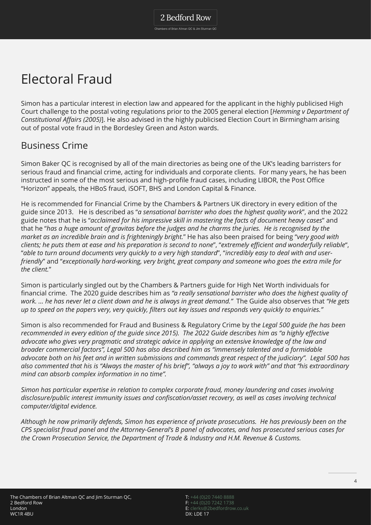## Electoral Fraud

Simon has a particular interest in election law and appeared for the applicant in the highly publicised High Court challenge to the postal voting regulations prior to the 2005 general election [*Hemming v Department of Constitutional Affairs (2005)*]. He also advised in the highly publicised Election Court in Birmingham arising out of postal vote fraud in the Bordesley Green and Aston wards.

### Business Crime

Simon Baker QC is recognised by all of the main directories as being one of the UK's leading barristers for serious fraud and financial crime, acting for individuals and corporate clients. For many years, he has been instructed in some of the most serious and high-profile fraud cases, including LIBOR, the Post Office "Horizon" appeals, the HBoS fraud, iSOFT, BHS and London Capital & Finance.

He is recommended for Financial Crime by the Chambers & Partners UK directory in every edition of the guide since 2013. He is described as "*a sensational barrister who does the highest quality work*", and the 2022 guide notes that he is "*acclaimed for his impressive skill in mastering the facts of document heavy cases*" and that he "*has a huge amount of gravitas before the judges and he charms the juries. He is recognised by the market as an incredible brain and is frighteningly bright.*" He has also been praised for being "*very good with clients; he puts them at ease and his preparation is second to none*", "*extremely efficient and wonderfully reliable*", "*able to turn around documents very quickly to a very high standard*", "*incredibly easy to deal with and userfriendly*" and "*exceptionally hard-working, very bright, great company and someone who goes the extra mile for the client.*"

Simon is particularly singled out by the Chambers & Partners guide for High Net Worth individuals for financial crime. The 2020 guide describes him as *"a really sensational barrister who does the highest quality of work. … he has never let a client down and he is always in great demand."* The Guide also observes that *"He gets up to speed on the papers very, very quickly, filters out key issues and responds very quickly to enquiries."*

Simon is also recommended for Fraud and Business & Regulatory Crime by th*e Legal 500 guide (he has been recommended in every edition of the guide since 2015). The 2022 Guide describes him as "a highly effective advocate who gives very pragmatic and strategic advice in applying an extensive knowledge of the law and broader commercial factors", Legal 500 has also described him as "immensely talented and a formidable advocate both on his feet and in written submissions and commands great respect of the judiciary". Legal 500 has also commented that his is "Always the master of his brief", "always a joy to work with" and that "his extraordinary mind can absorb complex information in no time".*

*Simon has particular expertise in relation to complex corporate fraud, money laundering and cases involving disclosure/public interest immunity issues and confiscation/asset recovery, as well as cases involving technical computer/digital evidence.*

*Although he now primarily defends, Simon has experience of private prosecutions. He has previously been on the CPS specialist fraud panel and the Attorney-General's B panel of advocates, and has prosecuted serious cases for the Crown Prosecution Service, the Department of Trade & Industry and H.M. Revenue & Customs.*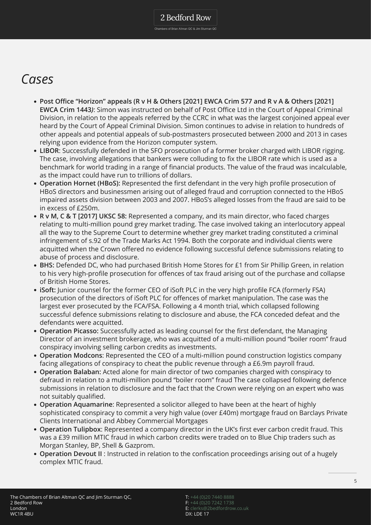## *Cases*

- **Post Office "Horizon" appeals (R v H & Others [2021] EWCA Crim 577 and R v A & Others [2021] EWCA Crim 1443***)*: Simon was instructed on behalf of Post Office Ltd in the Court of Appeal Criminal Division, in relation to the appeals referred by the CCRC in what was the largest conjoined appeal ever heard by the Court of Appeal Criminal Division. Simon continues to advise in relation to hundreds of other appeals and potential appeals of sub-postmasters prosecuted between 2000 and 2013 in cases relying upon evidence from the Horizon computer system.
- **LIBOR**: Successfully defended in the SFO prosecution of a former broker charged with LIBOR rigging. The case, involving allegations that bankers were colluding to fix the LIBOR rate which is used as a benchmark for world trading in a range of financial products. The value of the fraud was incalculable, as the impact could have run to trillions of dollars.
- **Operation Hornet (HBoS):** Represented the first defendant in the very high profile prosecution of HBoS directors and businessmen arising out of alleged fraud and corruption connected to the HBoS impaired assets division between 2003 and 2007. HBoS's alleged losses from the fraud are said to be in excess of £250m.
- **R v M, C & T [2017] UKSC 58:** Represented a company, and its main director, who faced charges relating to multi-million pound grey market trading. The case involved taking an interlocutory appeal all the way to the Supreme Court to determine whether grey market trading constituted a criminal infringement of s.92 of the Trade Marks Act 1994. Both the corporate and individual clients were acquitted when the Crown offered no evidence following successful defence submissions relating to abuse of process and disclosure.
- **BHS:** Defended DC, who had purchased British Home Stores for £1 from Sir Phillip Green, in relation to his very high-profile prosecution for offences of tax fraud arising out of the purchase and collapse of British Home Stores.
- **iSoft:** Junior counsel for the former CEO of iSoft PLC in the very high profile FCA (formerly FSA) prosecution of the directors of iSoft PLC for offences of market manipulation. The case was the largest ever prosecuted by the FCA/FSA. Following a 4 month trial, which collapsed following successful defence submissions relating to disclosure and abuse, the FCA conceded defeat and the defendants were acquitted.
- **Operation Picasso:** Successfully acted as leading counsel for the first defendant, the Managing Director of an investment brokerage, who was acquitted of a multi-million pound "boiler room" fraud conspiracy involving selling carbon credits as investments.
- **Operation Modcons**: Represented the CEO of a multi-million pound construction logistics company facing allegations of conspiracy to cheat the public revenue through a £6.9m payroll fraud.
- **Operation Balaban:** Acted alone for main director of two companies charged with conspiracy to defraud in relation to a multi-million pound "boiler room" fraud The case collapsed following defence submissions in relation to disclosure and the fact that the Crown were relying on an expert who was not suitably qualified.
- **Operation Aquamarine**: Represented a solicitor alleged to have been at the heart of highly sophisticated conspiracy to commit a very high value (over £40m) mortgage fraud on Barclays Private Clients International and Abbey Commercial Mortgages
- **Operation Tulipbox**: Represented a company director in the UK's first ever carbon credit fraud. This was a £39 million MTIC fraud in which carbon credits were traded on to Blue Chip traders such as Morgan Stanley, BP, Shell & Gazprom.
- **Operation Devout II** : Instructed in relation to the confiscation proceedings arising out of a hugely complex MTIC fraud.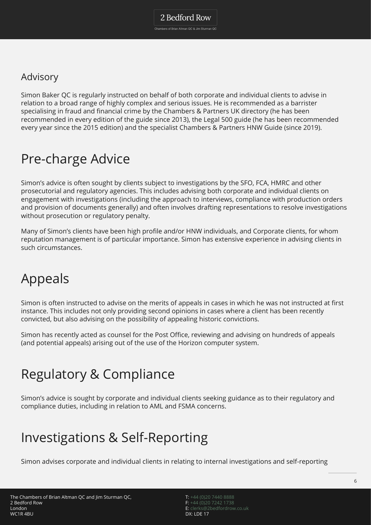### Advisory

Simon Baker QC is regularly instructed on behalf of both corporate and individual clients to advise in relation to a broad range of highly complex and serious issues. He is recommended as a barrister specialising in fraud and financial crime by the Chambers & Partners UK directory (he has been recommended in every edition of the guide since 2013), the Legal 500 guide (he has been recommended every year since the 2015 edition) and the specialist Chambers & Partners HNW Guide (since 2019).

## Pre-charge Advice

Simon's advice is often sought by clients subject to investigations by the SFO, FCA, HMRC and other prosecutorial and regulatory agencies. This includes advising both corporate and individual clients on engagement with investigations (including the approach to interviews, compliance with production orders and provision of documents generally) and often involves drafting representations to resolve investigations without prosecution or regulatory penalty.

Many of Simon's clients have been high profile and/or HNW individuals, and Corporate clients, for whom reputation management is of particular importance. Simon has extensive experience in advising clients in such circumstances.

## Appeals

Simon is often instructed to advise on the merits of appeals in cases in which he was not instructed at first instance. This includes not only providing second opinions in cases where a client has been recently convicted, but also advising on the possibility of appealing historic convictions.

Simon has recently acted as counsel for the Post Office, reviewing and advising on hundreds of appeals (and potential appeals) arising out of the use of the Horizon computer system.

## Regulatory & Compliance

Simon's advice is sought by corporate and individual clients seeking guidance as to their regulatory and compliance duties, including in relation to AML and FSMA concerns.

## Investigations & Self-Reporting

Simon advises corporate and individual clients in relating to internal investigations and self-reporting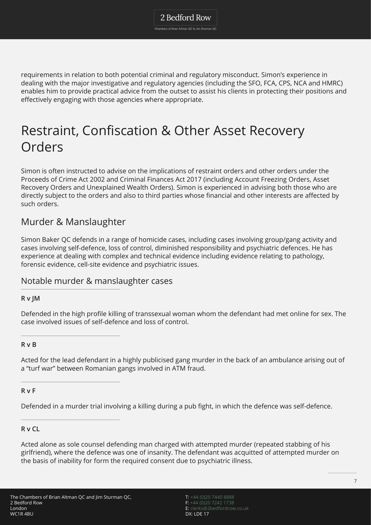requirements in relation to both potential criminal and regulatory misconduct. Simon's experience in dealing with the major investigative and regulatory agencies (including the SFO, FCA, CPS, NCA and HMRC) enables him to provide practical advice from the outset to assist his clients in protecting their positions and effectively engaging with those agencies where appropriate.

## Restraint, Confiscation & Other Asset Recovery Orders

Simon is often instructed to advise on the implications of restraint orders and other orders under the Proceeds of Crime Act 2002 and Criminal Finances Act 2017 (including Account Freezing Orders, Asset Recovery Orders and Unexplained Wealth Orders). Simon is experienced in advising both those who are directly subject to the orders and also to third parties whose financial and other interests are affected by such orders.

### Murder & Manslaughter

Simon Baker QC defends in a range of homicide cases, including cases involving group/gang activity and cases involving self-defence, loss of control, diminished responsibility and psychiatric defences. He has experience at dealing with complex and technical evidence including evidence relating to pathology, forensic evidence, cell-site evidence and psychiatric issues.

### Notable murder & manslaughter cases

#### **R v JM**

Defended in the high profile killing of transsexual woman whom the defendant had met online for sex. The case involved issues of self-defence and loss of control.

#### **R v B**

Acted for the lead defendant in a highly publicised gang murder in the back of an ambulance arising out of a "turf war" between Romanian gangs involved in ATM fraud.

#### **R v F**

Defended in a murder trial involving a killing during a pub fight, in which the defence was self-defence.

#### **R v CL**

Acted alone as sole counsel defending man charged with attempted murder (repeated stabbing of his girlfriend), where the defence was one of insanity. The defendant was acquitted of attempted murder on the basis of inability for form the required consent due to psychiatric illness.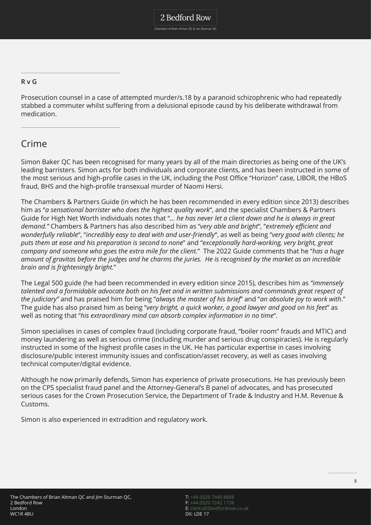**R v G**

Prosecution counsel in a case of attempted murder/s.18 by a paranoid schizophrenic who had repeatedly stabbed a commuter whilst suffering from a delusional episode causd by his deliberate withdrawal from medication.

### Crime

Simon Baker QC has been recognised for many years by all of the main directories as being one of the UK's leading barristers. Simon acts for both individuals and corporate clients, and has been instructed in some of the most serious and high-profile cases in the UK, including the Post Office "Horizon" case, LIBOR, the HBoS fraud, BHS and the high-profile transexual murder of Naomi Hersi.

The Chambers & Partners Guide (in which he has been recommended in every edition since 2013) describes him as "*a sensational barrister who does the highest quality work*", and the specialist Chambers & Partners Guide for High Net Worth individuals notes that "*… he has never let a client down and he is always in great demand."* Chambers & Partners has also described him as "*very able and bright*", "*extremely efficient and wonderfully reliable*", "*incredibly easy to deal with and user-friendly*", as well as being "*very good with clients; he puts them at ease and his preparation is second to none*" and "*exceptionally hard-working, very bright, great company and someone who goes the extra mile for the client.*" The 2022 Guide comments that he "*has a huge amount of gravitas before the judges and he charms the juries. He is recognised by the market as an incredible brain and is frighteningly bright.*"

The Legal 500 guide (he had been recommended in every edition since 2015), describes him as *"immensely talented and a formidable advocate both on his feet and in written submissions and commands great respect of the judiciary"* and has praised him for being "*always the master of his brief*" and "*an absolute joy to work with*." The guide has also praised him as being "*very bright, a quick worker, a good lawyer and good on his feet*" as well as noting that "*his extraordinary mind can absorb complex information in no time*".

Simon specialises in cases of complex fraud (including corporate fraud, "boiler room" frauds and MTIC) and money laundering as well as serious crime (including murder and serious drug conspiracies). He is regularly instructed in some of the highest profile cases in the UK. He has particular expertise in cases involving disclosure/public interest immunity issues and confiscation/asset recovery, as well as cases involving technical computer/digital evidence.

Although he now primarily defends, Simon has experience of private prosecutions. He has previously been on the CPS specialist fraud panel and the Attorney-General's B panel of advocates, and has prosecuted serious cases for the Crown Prosecution Service, the Department of Trade & Industry and H.M. Revenue & Customs.

Simon is also experienced in extradition and regulatory work.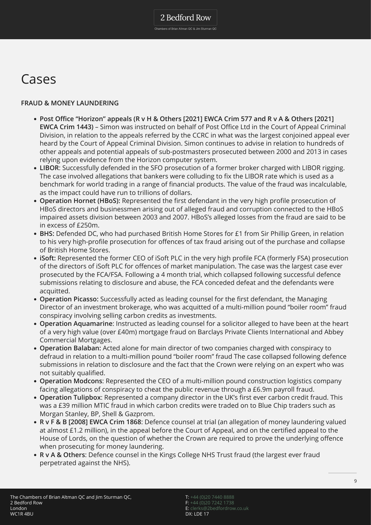## Cases

#### **FRAUD & MONEY LAUNDERING**

- **Post Office "Horizon" appeals (R v H & Others [2021] EWCA Crim 577 and R v A & Others [2021] EWCA Crim 1443)** – Simon was instructed on behalf of Post Office Ltd in the Court of Appeal Criminal Division, in relation to the appeals referred by the CCRC in what was the largest conjoined appeal ever heard by the Court of Appeal Criminal Division. Simon continues to advise in relation to hundreds of other appeals and potential appeals of sub-postmasters prosecuted between 2000 and 2013 in cases relying upon evidence from the Horizon computer system.
- **LIBOR**: Successfully defended in the SFO prosecution of a former broker charged with LIBOR rigging. The case involved allegations that bankers were colluding to fix the LIBOR rate which is used as a benchmark for world trading in a range of financial products. The value of the fraud was incalculable, as the impact could have run to trillions of dollars.
- **Operation Hornet (HBoS):** Represented the first defendant in the very high profile prosecution of HBoS directors and businessmen arising out of alleged fraud and corruption connected to the HBoS impaired assets division between 2003 and 2007. HBoS's alleged losses from the fraud are said to be in excess of £250m.
- **BHS:** Defended DC, who had purchased British Home Stores for £1 from Sir Phillip Green, in relation to his very high-profile prosecution for offences of tax fraud arising out of the purchase and collapse of British Home Stores.
- **iSoft:** Represented the former CEO of iSoft PLC in the very high profile FCA (formerly FSA) prosecution of the directors of iSoft PLC for offences of market manipulation. The case was the largest case ever prosecuted by the FCA/FSA. Following a 4 month trial, which collapsed following successful defence submissions relating to disclosure and abuse, the FCA conceded defeat and the defendants were acquitted.
- **Operation Picasso:** Successfully acted as leading counsel for the first defendant, the Managing Director of an investment brokerage, who was acquitted of a multi-million pound "boiler room" fraud conspiracy involving selling carbon credits as investments.
- **Operation Aquamarine**: Instructed as leading counsel for a solicitor alleged to have been at the heart of a very high value (over £40m) mortgage fraud on Barclays Private Clients International and Abbey Commercial Mortgages.
- **Operation Balaban:** Acted alone for main director of two companies charged with conspiracy to defraud in relation to a multi-million pound "boiler room" fraud The case collapsed following defence submissions in relation to disclosure and the fact that the Crown were relying on an expert who was not suitably qualified.
- **Operation Modcons**: Represented the CEO of a multi-million pound construction logistics company facing allegations of conspiracy to cheat the public revenue through a £6.9m payroll fraud.
- **Operation Tulipbox**: Represented a company director in the UK's first ever carbon credit fraud. This was a £39 million MTIC fraud in which carbon credits were traded on to Blue Chip traders such as Morgan Stanley, BP, Shell & Gazprom.
- **R v F & B [2008] EWCA Crim 1868**: Defence counsel at trial (an allegation of money laundering valued at almost £1.2 million), in the appeal before the Court of Appeal, and on the certified appeal to the House of Lords, on the question of whether the Crown are required to prove the underlying offence when prosecuting for money laundering.
- **R v A & Others**: Defence counsel in the Kings College NHS Trust fraud (the largest ever fraud perpetrated against the NHS).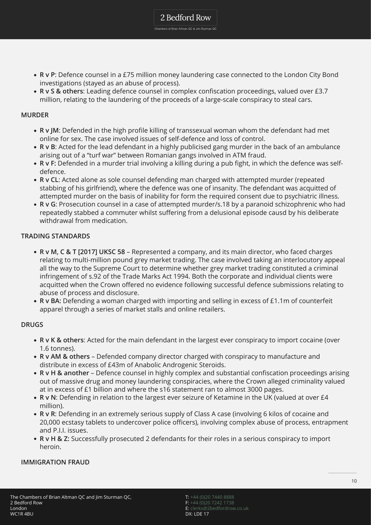**R v P**: Defence counsel in a £75 million money laundering case connected to the London City Bond investigations (stayed as an abuse of process).

2 Bedford Row Chambers of Brian Altman QC & Jim Sturman QC

**R v S & others**: Leading defence counsel in complex confiscation proceedings, valued over £3.7 million, relating to the laundering of the proceeds of a large-scale conspiracy to steal cars.

#### **MURDER**

- **R v JM**: Defended in the high profile killing of transsexual woman whom the defendant had met online for sex. The case involved issues of self-defence and loss of control.
- **R v B**: Acted for the lead defendant in a highly publicised gang murder in the back of an ambulance arising out of a "turf war" between Romanian gangs involved in ATM fraud.
- **R v F:** Defended in a murder trial involving a killing during a pub fight, in which the defence was selfdefence.
- **R v CL**: Acted alone as sole counsel defending man charged with attempted murder (repeated stabbing of his girlfriend), where the defence was one of insanity. The defendant was acquitted of attempted murder on the basis of inability for form the required consent due to psychiatric illness.
- **R v G**: Prosecution counsel in a case of attempted murder/s.18 by a paranoid schizophrenic who had repeatedly stabbed a commuter whilst suffering from a delusional episode causd by his deliberate withdrawal from medication.

#### **TRADING STANDARDS**

- **R v M, C & T [2017] UKSC 58** Represented a company, and its main director, who faced charges relating to multi-million pound grey market trading. The case involved taking an interlocutory appeal all the way to the Supreme Court to determine whether grey market trading constituted a criminal infringement of s.92 of the Trade Marks Act 1994. Both the corporate and individual clients were acquitted when the Crown offered no evidence following successful defence submissions relating to abuse of process and disclosure.
- **R v BA:** Defending a woman charged with importing and selling in excess of £1.1m of counterfeit apparel through a series of market stalls and online retailers.

#### **DRUGS**

- **R v K & others**: Acted for the main defendant in the largest ever conspiracy to import cocaine (over 1.6 tonnes).
- **R v AM & others** Defended company director charged with conspiracy to manufacture and distribute in excess of £43m of Anabolic Androgenic Steroids.
- **R v H & another** Defence counsel in highly complex and substantial confiscation proceedings arising out of massive drug and money laundering conspiracies, where the Crown alleged criminality valued at in excess of £1 billion and where the s16 statement ran to almost 3000 pages.
- **R v N**: Defending in relation to the largest ever seizure of Ketamine in the UK (valued at over £4 million).
- **R v R**: Defending in an extremely serious supply of Class A case (involving 6 kilos of cocaine and 20,000 ecstasy tablets to undercover police officers), involving complex abuse of process, entrapment and P.I.I. issues.
- **R v H & Z:** Successfully prosecuted 2 defendants for their roles in a serious conspiracy to import heroin.

#### **IMMIGRATION FRAUD**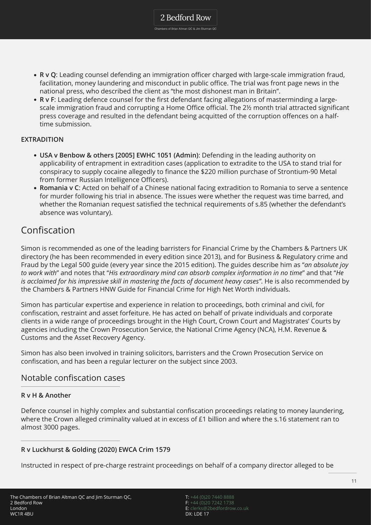**R v Q**: Leading counsel defending an immigration officer charged with large-scale immigration fraud, facilitation, money laundering and misconduct in public office. The trial was front page news in the national press, who described the client as "the most dishonest man in Britain".

2 Bedford Row Chambers of Brian Altman QC & Jim Sturman QC

**R v F**: Leading defence counsel for the first defendant facing allegations of masterminding a largescale immigration fraud and corrupting a Home Office official. The 2½ month trial attracted significant press coverage and resulted in the defendant being acquitted of the corruption offences on a halftime submission.

#### **EXTRADITION**

- **USA v Benbow & others [2005] EWHC 1051 (Admin)**: Defending in the leading authority on applicability of entrapment in extradition cases (application to extradite to the USA to stand trial for conspiracy to supply cocaine allegedly to finance the \$220 million purchase of Strontium-90 Metal from former Russian Intelligence Officers).
- **Romania v C**: Acted on behalf of a Chinese national facing extradition to Romania to serve a sentence for murder following his trial in absence. The issues were whether the request was time barred, and whether the Romanian request satisfied the technical requirements of s.85 (whether the defendant's absence was voluntary).

### Confiscation

Simon is recommended as one of the leading barristers for Financial Crime by the Chambers & Partners UK directory (he has been recommended in every edition since 2013), and for Business & Regulatory crime and Fraud by the Legal 500 guide (every year since the 2015 edition). The guides describe him as "*an absolute joy to work with*" and notes that "*His extraordinary mind can absorb complex information in no time*" and that "*He is acclaimed for his impressive skill in mastering the facts of document heavy cases"*. He is also recommended by the Chambers & Partners HNW Guide for Financial Crime for High Net Worth individuals.

Simon has particular expertise and experience in relation to proceedings, both criminal and civil, for confiscation, restraint and asset forfeiture. He has acted on behalf of private individuals and corporate clients in a wide range of proceedings brought in the High Court, Crown Court and Magistrates' Courts by agencies including the Crown Prosecution Service, the National Crime Agency (NCA), H.M. Revenue & Customs and the Asset Recovery Agency.

Simon has also been involved in training solicitors, barristers and the Crown Prosecution Service on confiscation, and has been a regular lecturer on the subject since 2003.

#### Notable confiscation cases

#### **R v H & Another**

Defence counsel in highly complex and substantial confiscation proceedings relating to money laundering, where the Crown alleged criminality valued at in excess of £1 billion and where the s.16 statement ran to almost 3000 pages.

#### **R v Luckhurst & Golding (2020) EWCA Crim 1579**

Instructed in respect of pre-charge restraint proceedings on behalf of a company director alleged to be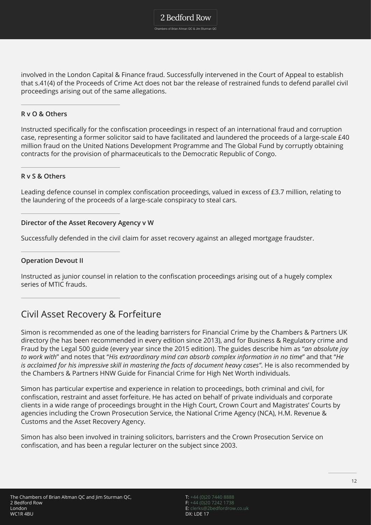Chambers of Brian Altman QC & Jim Sturman QC

involved in the London Capital & Finance fraud. Successfully intervened in the Court of Appeal to establish that s.41(4) of the Proceeds of Crime Act does not bar the release of restrained funds to defend parallel civil proceedings arising out of the same allegations.

#### **R v O & Others**

Instructed specifically for the confiscation proceedings in respect of an international fraud and corruption case, representing a former solicitor said to have facilitated and laundered the proceeds of a large-scale £40 million fraud on the United Nations Development Programme and The Global Fund by corruptly obtaining contracts for the provision of pharmaceuticals to the Democratic Republic of Congo.

#### **R v S & Others**

Leading defence counsel in complex confiscation proceedings, valued in excess of £3.7 million, relating to the laundering of the proceeds of a large-scale conspiracy to steal cars.

#### **Director of the Asset Recovery Agency v W**

Successfully defended in the civil claim for asset recovery against an alleged mortgage fraudster.

#### **Operation Devout II**

Instructed as junior counsel in relation to the confiscation proceedings arising out of a hugely complex series of MTIC frauds.

### Civil Asset Recovery & Forfeiture

Simon is recommended as one of the leading barristers for Financial Crime by the Chambers & Partners UK directory (he has been recommended in every edition since 2013), and for Business & Regulatory crime and Fraud by the Legal 500 guide (every year since the 2015 edition). The guides describe him as "*an absolute joy to work with*" and notes that "*His extraordinary mind can absorb complex information in no time*" and that "*He is acclaimed for his impressive skill in mastering the facts of document heavy cases"*. He is also recommended by the Chambers & Partners HNW Guide for Financial Crime for High Net Worth individuals.

Simon has particular expertise and experience in relation to proceedings, both criminal and civil, for confiscation, restraint and asset forfeiture. He has acted on behalf of private individuals and corporate clients in a wide range of proceedings brought in the High Court, Crown Court and Magistrates' Courts by agencies including the Crown Prosecution Service, the National Crime Agency (NCA), H.M. Revenue & Customs and the Asset Recovery Agency.

Simon has also been involved in training solicitors, barristers and the Crown Prosecution Service on confiscation, and has been a regular lecturer on the subject since 2003.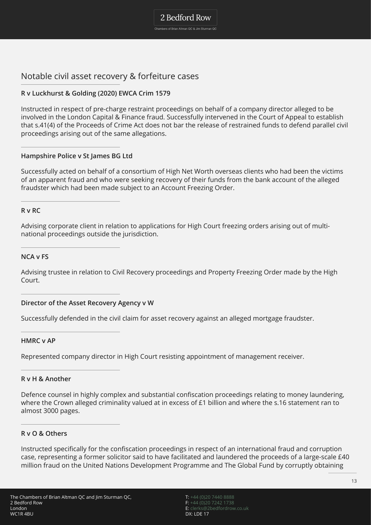2 Bedford Row Chambers of Brian Altman QC & Jim Sturman QC

Notable civil asset recovery & forfeiture cases

#### **R v Luckhurst & Golding (2020) EWCA Crim 1579**

Instructed in respect of pre-charge restraint proceedings on behalf of a company director alleged to be involved in the London Capital & Finance fraud. Successfully intervened in the Court of Appeal to establish that s.41(4) of the Proceeds of Crime Act does not bar the release of restrained funds to defend parallel civil proceedings arising out of the same allegations.

**Hampshire Police v St James BG Ltd**

Successfully acted on behalf of a consortium of High Net Worth overseas clients who had been the victims of an apparent fraud and who were seeking recovery of their funds from the bank account of the alleged fraudster which had been made subject to an Account Freezing Order.

#### **R v RC**

Advising corporate client in relation to applications for High Court freezing orders arising out of multinational proceedings outside the jurisdiction.

#### **NCA v FS**

Advising trustee in relation to Civil Recovery proceedings and Property Freezing Order made by the High Court.

#### **Director of the Asset Recovery Agency v W**

Successfully defended in the civil claim for asset recovery against an alleged mortgage fraudster.

#### **HMRC v AP**

Represented company director in High Court resisting appointment of management receiver.

#### **R v H & Another**

Defence counsel in highly complex and substantial confiscation proceedings relating to money laundering, where the Crown alleged criminality valued at in excess of £1 billion and where the s.16 statement ran to almost 3000 pages.

#### **R v O & Others**

Instructed specifically for the confiscation proceedings in respect of an international fraud and corruption case, representing a former solicitor said to have facilitated and laundered the proceeds of a large-scale £40 million fraud on the United Nations Development Programme and The Global Fund by corruptly obtaining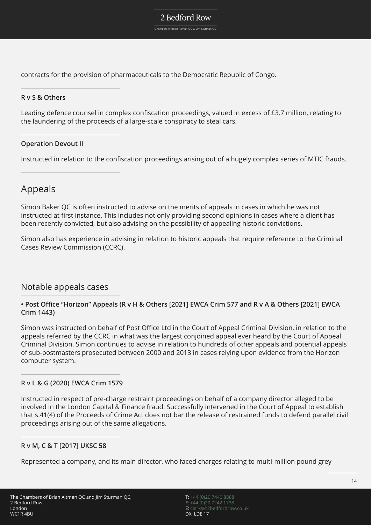Chambers of Brian Altman QC & Jim Sturman QC

contracts for the provision of pharmaceuticals to the Democratic Republic of Congo.

#### **R v S & Others**

Leading defence counsel in complex confiscation proceedings, valued in excess of £3.7 million, relating to the laundering of the proceeds of a large-scale conspiracy to steal cars.

#### **Operation Devout II**

Instructed in relation to the confiscation proceedings arising out of a hugely complex series of MTIC frauds.

### Appeals

Simon Baker QC is often instructed to advise on the merits of appeals in cases in which he was not instructed at first instance. This includes not only providing second opinions in cases where a client has been recently convicted, but also advising on the possibility of appealing historic convictions.

Simon also has experience in advising in relation to historic appeals that require reference to the Criminal Cases Review Commission (CCRC).

#### Notable appeals cases

#### **• Post Office "Horizon" Appeals (R v H & Others [2021] EWCA Crim 577 and R v A & Others [2021] EWCA Crim 1443)**

Simon was instructed on behalf of Post Office Ltd in the Court of Appeal Criminal Division, in relation to the appeals referred by the CCRC in what was the largest conjoined appeal ever heard by the Court of Appeal Criminal Division. Simon continues to advise in relation to hundreds of other appeals and potential appeals of sub-postmasters prosecuted between 2000 and 2013 in cases relying upon evidence from the Horizon computer system.

#### **R v L & G (2020) EWCA Crim 1579**

Instructed in respect of pre-charge restraint proceedings on behalf of a company director alleged to be involved in the London Capital & Finance fraud. Successfully intervened in the Court of Appeal to establish that s.41(4) of the Proceeds of Crime Act does not bar the release of restrained funds to defend parallel civil proceedings arising out of the same allegations.

#### **R v M, C & T [2017] UKSC 58**

Represented a company, and its main director, who faced charges relating to multi-million pound grey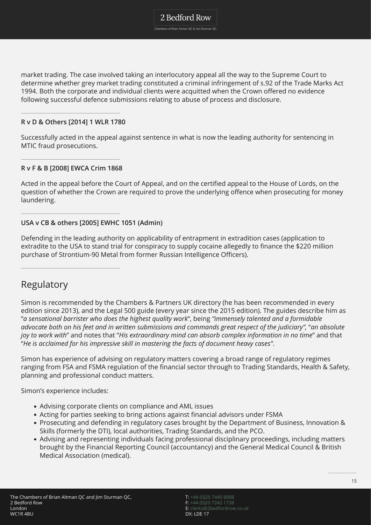Chambers of Brian Altman QC & Jim Sturman QC

market trading. The case involved taking an interlocutory appeal all the way to the Supreme Court to determine whether grey market trading constituted a criminal infringement of s.92 of the Trade Marks Act 1994. Both the corporate and individual clients were acquitted when the Crown offered no evidence following successful defence submissions relating to abuse of process and disclosure.

#### **R v D & Others [2014] 1 WLR 1780**

Successfully acted in the appeal against sentence in what is now the leading authority for sentencing in MTIC fraud prosecutions.

#### **R v F & B [2008] EWCA Crim 1868**

Acted in the appeal before the Court of Appeal, and on the certified appeal to the House of Lords, on the question of whether the Crown are required to prove the underlying offence when prosecuting for money laundering.

#### **USA v CB & others [2005] EWHC 1051 (Admin)**

Defending in the leading authority on applicability of entrapment in extradition cases (application to extradite to the USA to stand trial for conspiracy to supply cocaine allegedly to finance the \$220 million purchase of Strontium-90 Metal from former Russian Intelligence Officers).

### Regulatory

Simon is recommended by the Chambers & Partners UK directory (he has been recommended in every edition since 2013), and the Legal 500 guide (every year since the 2015 edition). The guides describe him as "*a sensational barrister who does the highest quality work*", being *"immensely talented and a formidable advocate both on his feet and in written submissions and commands great respect of the judiciary",* "*an absolute joy to work with*" and notes that "*His extraordinary mind can absorb complex information in no time*" and that "*He is acclaimed for his impressive skill in mastering the facts of document heavy cases"*.

Simon has experience of advising on regulatory matters covering a broad range of regulatory regimes ranging from FSA and FSMA regulation of the financial sector through to Trading Standards, Health & Safety, planning and professional conduct matters.

Simon's experience includes:

- Advising corporate clients on compliance and AML issues
- Acting for parties seeking to bring actions against financial advisors under FSMA
- Prosecuting and defending in regulatory cases brought by the Department of Business, Innovation & Skills (formerly the DTI), local authorities, Trading Standards, and the PCO.
- Advising and representing individuals facing professional disciplinary proceedings, including matters brought by the Financial Reporting Council (accountancy) and the General Medical Council & British Medical Association (medical).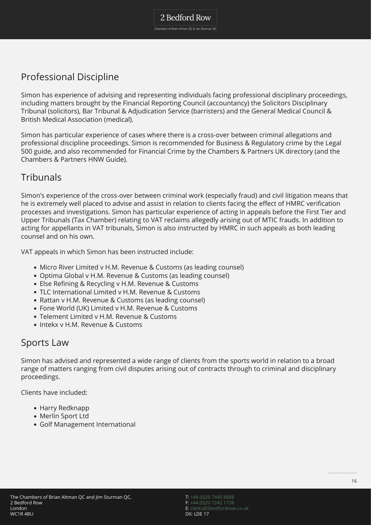Professional Discipline

Simon has experience of advising and representing individuals facing professional disciplinary proceedings, including matters brought by the Financial Reporting Council (accountancy) the Solicitors Disciplinary Tribunal (solicitors), Bar Tribunal & Adjudication Service (barristers) and the General Medical Council & British Medical Association (medical).

Simon has particular experience of cases where there is a cross-over between criminal allegations and professional discipline proceedings. Simon is recommended for Business & Regulatory crime by the Legal 500 guide, and also recommended for Financial Crime by the Chambers & Partners UK directory (and the Chambers & Partners HNW Guide).

## **Tribunals**

Simon's experience of the cross-over between criminal work (especially fraud) and civil litigation means that he is extremely well placed to advise and assist in relation to clients facing the effect of HMRC verification processes and investigations. Simon has particular experience of acting in appeals before the First Tier and Upper Tribunals (Tax Chamber) relating to VAT reclaims allegedly arising out of MTIC frauds. In addition to acting for appellants in VAT tribunals, Simon is also instructed by HMRC in such appeals as both leading counsel and on his own.

VAT appeals in which Simon has been instructed include:

- Micro River Limited v H.M. Revenue & Customs (as leading counsel)
- Optima Global v H.M. Revenue & Customs (as leading counsel)
- Else Refining & Recycling v H.M. Revenue & Customs
- TLC International Limited v H.M. Revenue & Customs
- Rattan v H.M. Revenue & Customs (as leading counsel)
- Fone World (UK) Limited v H.M. Revenue & Customs
- Telement Limited v H.M. Revenue & Customs
- Intekx v H.M. Revenue & Customs

### Sports Law

Simon has advised and represented a wide range of clients from the sports world in relation to a broad range of matters ranging from civil disputes arising out of contracts through to criminal and disciplinary proceedings.

Clients have included:

- Harry Redknapp
- Merlin Sport Ltd
- Golf Management International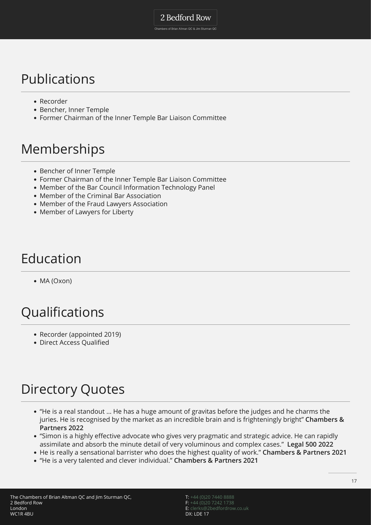Chambers of Brian Altman QC & Jim Sturman QC

## Publications

- Recorder
- Bencher, Inner Temple
- Former Chairman of the Inner Temple Bar Liaison Committee

## Memberships

- Bencher of Inner Temple
- Former Chairman of the Inner Temple Bar Liaison Committee
- Member of the Bar Council Information Technology Panel
- Member of the Criminal Bar Association
- Member of the Fraud Lawyers Association
- Member of Lawyers for Liberty

## Education

• MA (Oxon)

# Qualifications

- Recorder (appointed 2019)
- Direct Access Qualified

# Directory Quotes

- "He is a real standout … He has a huge amount of gravitas before the judges and he charms the juries. He is recognised by the market as an incredible brain and is frighteningly bright" **Chambers & Partners 2022**
- "Simon is a highly effective advocate who gives very pragmatic and strategic advice. He can rapidly assimilate and absorb the minute detail of very voluminous and complex cases." **Legal 500 2022**
- He is really a sensational barrister who does the highest quality of work." **Chambers & Partners 2021**
- "He is a very talented and clever individual." **Chambers & Partners 2021**